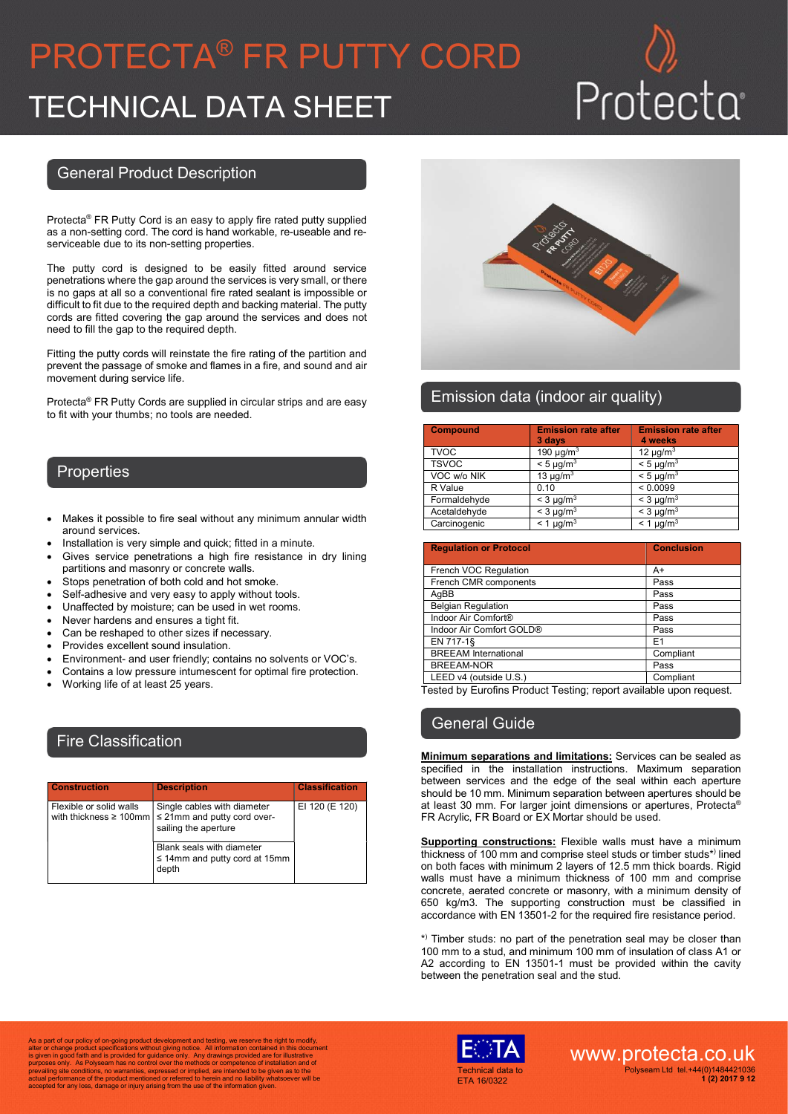# PROTECTA® FR PUTTY CORD TECHNICAL DATA SHEET

## General Product Description

Protecta® FR Putty Cord is an easy to apply fire rated putty supplied as a non-setting cord. The cord is hand workable, re-useable and reserviceable due to its non-setting properties.

The putty cord is designed to be easily fitted around service penetrations where the gap around the services is very small, or there is no gaps at all so a conventional fire rated sealant is impossible or difficult to fit due to the required depth and backing material. The putty cords are fitted covering the gap around the services and does not need to fill the gap to the required depth.

Fitting the putty cords will reinstate the fire rating of the partition and prevent the passage of smoke and flames in a fire, and sound and air movement during service life.

Protecta® FR Putty Cords are supplied in circular strips and are easy to fit with your thumbs; no tools are needed.

### **Properties**

- Makes it possible to fire seal without any minimum annular width around services.
- Installation is very simple and quick; fitted in a minute.
- Gives service penetrations a high fire resistance in dry lining partitions and masonry or concrete walls.
- Stops penetration of both cold and hot smoke.
- Self-adhesive and very easy to apply without tools.
- Unaffected by moisture; can be used in wet rooms.
- Never hardens and ensures a tight fit.
- Can be reshaped to other sizes if necessary.
- Provides excellent sound insulation.
- Environment- and user friendly; contains no solvents or VOC's.
- Contains a low pressure intumescent for optimal fire protection.
- Working life of at least 25 years.

## Fire Classification

| <b>Construction</b>                                     | <b>Description</b>                                                                      | <b>Classification</b> |
|---------------------------------------------------------|-----------------------------------------------------------------------------------------|-----------------------|
| Flexible or solid walls<br>with thickness $\geq 100$ mm | Single cables with diameter<br>$\leq$ 21mm and putty cord over-<br>sailing the aperture | EI 120 (E 120)        |
|                                                         | Blank seals with diameter<br>$\leq$ 14mm and putty cord at 15mm<br>depth                |                       |



## Emission data (indoor air quality)

| <b>Compound</b> | <b>Emission rate after</b><br>3 days | <b>Emission rate after</b><br>4 weeks |
|-----------------|--------------------------------------|---------------------------------------|
| <b>TVOC</b>     | 190 $\mu$ g/m <sup>3</sup>           | 12 $\mu$ g/m <sup>3</sup>             |
| <b>TSVOC</b>    | $< 5 \mu q/m3$                       | $< 5 \mu q/m3$                        |
| VOC w/o NIK     | 13 $\mu$ g/m <sup>3</sup>            | $< 5 \mu q/m3$                        |
| R Value         | 0.10                                 | < 0.0099                              |
| Formaldehyde    | $<$ 3 µg/m <sup>3</sup>              | $<$ 3 µg/m <sup>3</sup>               |
| Acetaldehyde    | $<$ 3 µg/m <sup>3</sup>              | $<$ 3 µg/m <sup>3</sup>               |
| Carcinogenic    | $< 1 \mu g/m3$                       | $< 1 \mu g/m3$                        |

| <b>Regulation or Protocol</b>   | <b>Conclusion</b> |
|---------------------------------|-------------------|
|                                 |                   |
| French VOC Regulation           | A+                |
| French CMR components           | Pass              |
| AqBB                            | Pass              |
| <b>Belgian Regulation</b>       | Pass              |
| Indoor Air Comfort <sup>®</sup> | Pass              |
| Indoor Air Comfort GOLD®        | Pass              |
| EN 717-1§                       | E1                |
| <b>BREEAM</b> International     | Compliant         |
| <b>BREEAM-NOR</b>               | Pass              |
| LEED v4 (outside U.S.)          | Compliant         |

Tested by Eurofins Product Testing; report available upon request.

### General Guide

**Minimum separations and limitations:** Services can be sealed as specified in the installation instructions. Maximum separation between services and the edge of the seal within each aperture should be 10 mm. Minimum separation between apertures should be at least 30 mm. For larger joint dimensions or apertures, Protecta® FR Acrylic, FR Board or EX Mortar should be used.

**Supporting constructions:** Flexible walls must have a minimum thickness of 100 mm and comprise steel studs or timber studs\*) lined on both faces with minimum 2 layers of 12.5 mm thick boards. Rigid walls must have a minimum thickness of 100 mm and comprise concrete, aerated concrete or masonry, with a minimum density of 650 kg/m3. The supporting construction must be classified in accordance with EN 13501-2 for the required fire resistance period.

\* ) Timber studs: no part of the penetration seal may be closer than 100 mm to a stud, and minimum 100 mm of insulation of class A1 or A2 according to EN 13501-1 must be provided within the cavity between the penetration seal and the stud.

As a part of our policy of on-going product development and testing, we reserve the right to modify,<br>alter or change product specifications without giving notice. All information contained in this document<br>is given in good prevailing site conditions, no warranties, expressed or implied, are intended to be given as to the actual performance of the product mentioned or referred to herein and no liability whatsoever will be accepted for any loss, damage or injury arising from the use of the information given.